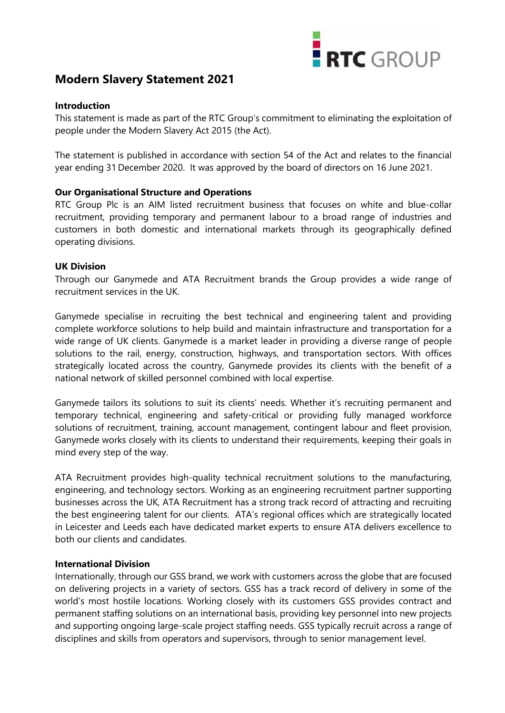# **Modern Slavery Statement 2021**



### **Introduction**

This statement is made as part of the RTC Group's commitment to eliminating the exploitation of people under the Modern Slavery Act 2015 (the Act).

The statement is published in accordance with section 54 of the Act and relates to the financial year ending 31 December 2020. It was approved by the board of directors on 16 June 2021.

# **Our Organisational Structure and Operations**

RTC Group Plc is an AIM listed recruitment business that focuses on white and blue-collar recruitment, providing temporary and permanent labour to a broad range of industries and customers in both domestic and international markets through its geographically defined operating divisions.

# **UK Division**

Through our Ganymede and ATA Recruitment brands the Group provides a wide range of recruitment services in the UK.

Ganymede specialise in recruiting the best technical and engineering talent and providing complete workforce solutions to help build and maintain infrastructure and transportation for a wide range of UK clients. Ganymede is a market leader in providing a diverse range of people solutions to the rail, energy, construction, highways, and transportation sectors. With offices strategically located across the country, Ganymede provides its clients with the benefit of a national network of skilled personnel combined with local expertise.

Ganymede tailors its solutions to suit its clients' needs. Whether it's recruiting permanent and temporary technical, engineering and safety-critical or providing fully managed workforce solutions of recruitment, training, account management, contingent labour and fleet provision, Ganymede works closely with its clients to understand their requirements, keeping their goals in mind every step of the way.

ATA Recruitment provides high-quality technical recruitment solutions to the manufacturing, engineering, and technology sectors. Working as an engineering recruitment partner supporting businesses across the UK, ATA Recruitment has a strong track record of attracting and recruiting the best engineering talent for our clients. ATA's regional offices which are strategically located in Leicester and Leeds each have dedicated market experts to ensure ATA delivers excellence to both our clients and candidates.

### **International Division**

Internationally, through our GSS brand, we work with customers across the globe that are focused on delivering projects in a variety of sectors. GSS has a track record of delivery in some of the world's most hostile locations. Working closely with its customers GSS provides contract and permanent staffing solutions on an international basis, providing key personnel into new projects and supporting ongoing large-scale project staffing needs. GSS typically recruit across a range of disciplines and skills from operators and supervisors, through to senior management level.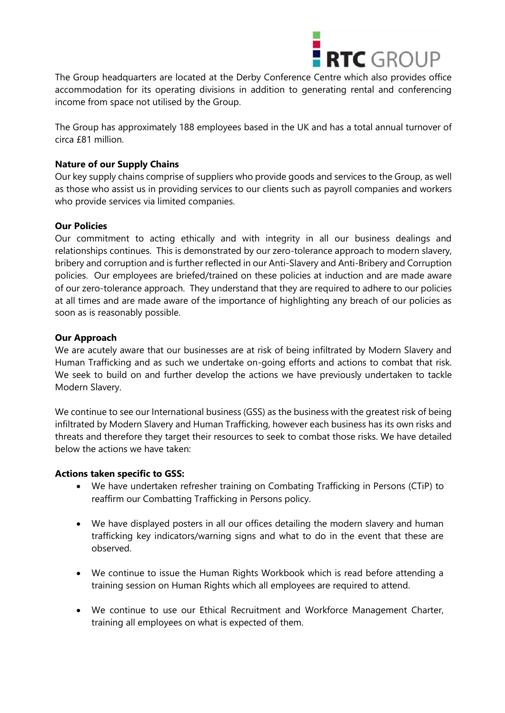

The Group headquarters are located at the Derby Conference Centre which also provides office accommodation for its operating divisions in addition to generating rental and conferencing income from space not utilised by the Group.

The Group has approximately 188 employees based in the UK and has a total annual turnover of circa £81 million.

# **Nature of our Supply Chains**

Our key supply chains comprise of suppliers who provide goods and services to the Group, as well as those who assist us in providing services to our clients such as payroll companies and workers who provide services via limited companies.

# **Our Policies**

Our commitment to acting ethically and with integrity in all our business dealings and relationships continues. This is demonstrated by our zero-tolerance approach to modern slavery, bribery and corruption and is further reflected in our Anti-Slavery and Anti-Bribery and Corruption policies. Our employees are briefed/trained on these policies at induction and are made aware of our zero-tolerance approach. They understand that they are required to adhere to our policies at all times and are made aware of the importance of highlighting any breach of our policies as soon as is reasonably possible.

# **Our Approach**

We are acutely aware that our businesses are at risk of being infiltrated by Modern Slavery and Human Trafficking and as such we undertake on-going efforts and actions to combat that risk. We seek to build on and further develop the actions we have previously undertaken to tackle Modern Slavery.

We continue to see our International business (GSS) as the business with the greatest risk of being infiltrated by Modern Slavery and Human Trafficking, however each business has its own risks and threats and therefore they target their resources to seek to combat those risks. We have detailed below the actions we have taken:

### **Actions taken specific to GSS:**

- We have undertaken refresher training on Combating Trafficking in Persons (CTiP) to reaffirm our Combatting Trafficking in Persons policy.
- We have displayed posters in all our offices detailing the modern slavery and human trafficking key indicators/warning signs and what to do in the event that these are observed.
- We continue to issue the Human Rights Workbook which is read before attending a training session on Human Rights which all employees are required to attend.
- We continue to use our Ethical Recruitment and Workforce Management Charter, training all employees on what is expected of them.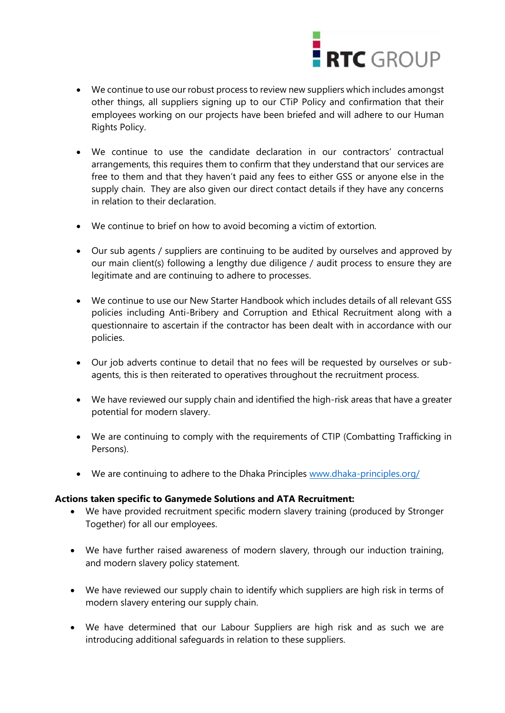

- We continue to use our robust process to review new suppliers which includes amongst other things, all suppliers signing up to our CTiP Policy and confirmation that their employees working on our projects have been briefed and will adhere to our Human Rights Policy.
- We continue to use the candidate declaration in our contractors' contractual arrangements, this requires them to confirm that they understand that our services are free to them and that they haven't paid any fees to either GSS or anyone else in the supply chain. They are also given our direct contact details if they have any concerns in relation to their declaration.
- We continue to brief on how to avoid becoming a victim of extortion.
- Our sub agents / suppliers are continuing to be audited by ourselves and approved by our main client(s) following a lengthy due diligence / audit process to ensure they are legitimate and are continuing to adhere to processes.
- We continue to use our New Starter Handbook which includes details of all relevant GSS policies including Anti-Bribery and Corruption and Ethical Recruitment along with a questionnaire to ascertain if the contractor has been dealt with in accordance with our policies.
- Our job adverts continue to detail that no fees will be requested by ourselves or subagents, this is then reiterated to operatives throughout the recruitment process.
- We have reviewed our supply chain and identified the high-risk areas that have a greater potential for modern slavery.
- We are continuing to comply with the requirements of CTIP (Combatting Trafficking in Persons).
- We are continuing to adhere to the Dhaka Principles [www.dhaka-principles.org/](http://www.dhaka-principles.org/)

#### **Actions taken specific to Ganymede Solutions and ATA Recruitment:**

- We have provided recruitment specific modern slavery training (produced by Stronger Together) for all our employees.
- We have further raised awareness of modern slavery, through our induction training, and modern slavery policy statement.
- We have reviewed our supply chain to identify which suppliers are high risk in terms of modern slavery entering our supply chain.
- We have determined that our Labour Suppliers are high risk and as such we are introducing additional safeguards in relation to these suppliers.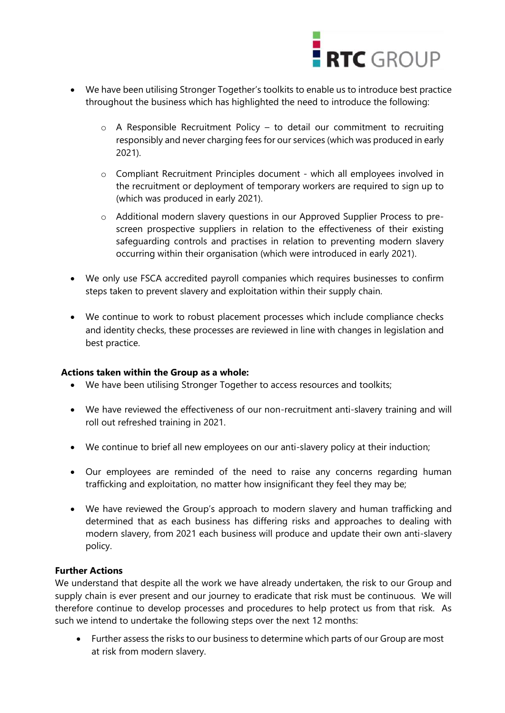

- We have been utilising Stronger Together's toolkits to enable us to introduce best practice throughout the business which has highlighted the need to introduce the following:
	- o A Responsible Recruitment Policy to detail our commitment to recruiting responsibly and never charging fees for our services (which was produced in early 2021).
	- o Compliant Recruitment Principles document which all employees involved in the recruitment or deployment of temporary workers are required to sign up to (which was produced in early 2021).
	- o Additional modern slavery questions in our Approved Supplier Process to prescreen prospective suppliers in relation to the effectiveness of their existing safeguarding controls and practises in relation to preventing modern slavery occurring within their organisation (which were introduced in early 2021).
- We only use FSCA accredited payroll companies which requires businesses to confirm steps taken to prevent slavery and exploitation within their supply chain.
- We continue to work to robust placement processes which include compliance checks and identity checks, these processes are reviewed in line with changes in legislation and best practice.

### **Actions taken within the Group as a whole:**

- We have been utilising Stronger Together to access resources and toolkits;
- We have reviewed the effectiveness of our non-recruitment anti-slavery training and will roll out refreshed training in 2021.
- We continue to brief all new employees on our anti-slavery policy at their induction;
- Our employees are reminded of the need to raise any concerns regarding human trafficking and exploitation, no matter how insignificant they feel they may be;
- We have reviewed the Group's approach to modern slavery and human trafficking and determined that as each business has differing risks and approaches to dealing with modern slavery, from 2021 each business will produce and update their own anti-slavery policy.

### **Further Actions**

We understand that despite all the work we have already undertaken, the risk to our Group and supply chain is ever present and our journey to eradicate that risk must be continuous. We will therefore continue to develop processes and procedures to help protect us from that risk. As such we intend to undertake the following steps over the next 12 months:

• Further assess the risks to our business to determine which parts of our Group are most at risk from modern slavery.